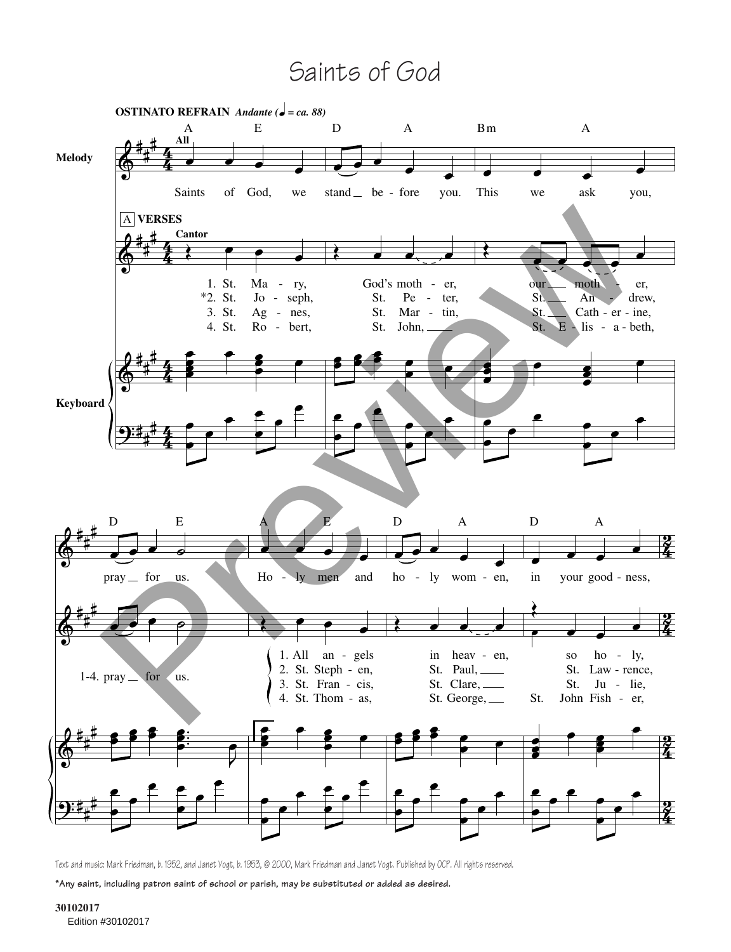## Saints of God



Text and music: Mark Friedman, b. 1952, and Janet Vogt, b. 1953, © 2000, Mark Friedman and Janet Vogt. Published by OCP. All rights reserved.

**\*Any saint, including patron saint of school or parish, may be substituted or added as desired.**

**30102017** Edition #30102017